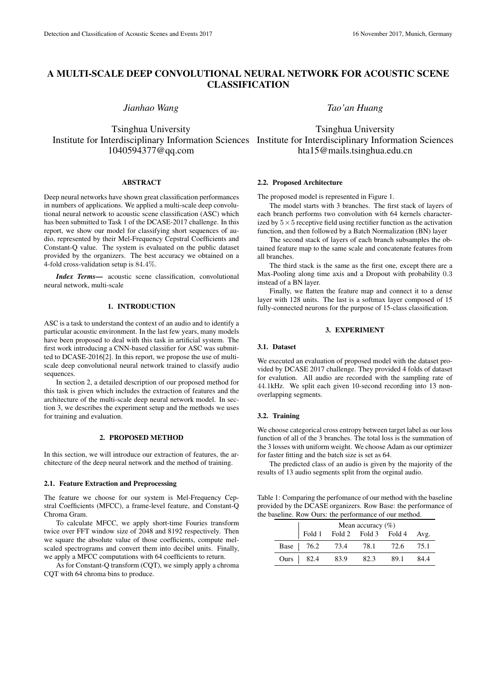# A MULTI-SCALE DEEP CONVOLUTIONAL NEURAL NETWORK FOR ACOUSTIC SCENE CLASSIFICATION

*Jianhao Wang*

Tsinghua University Institute for Interdisciplinary Information Sciences Institute for Interdisciplinary Information Sciences 1040594377@qq.com

## **ABSTRACT**

Deep neural networks have shown great classification performances in numbers of applications. We applied a multi-scale deep convolutional neural network to acoustic scene classification (ASC) which has been submitted to Task 1 of the DCASE-2017 challenge. In this report, we show our model for classifying short sequences of audio, represented by their Mel-Frequency Cepstral Coefficients and Constant-Q value. The system is evaluated on the public dataset provided by the organizers. The best accuracy we obtained on a 4-fold cross-validation setup is 84*.*4%.

*Index Terms*— acoustic scene classification, convolutional neural network, multi-scale

# 1. INTRODUCTION

ASC is a task to understand the context of an audio and to identify a particular acoustic environment. In the last few years, many models have been proposed to deal with this task in artificial system. The first work introducing a CNN-based classifier for ASC was submitted to DCASE-2016[2]. In this report, we propose the use of multiscale deep convolutional neural network trained to classify audio sequences.

In section 2, a detailed description of our proposed method for this task is given which includes the extraction of features and the architecture of the multi-scale deep neural network model. In section 3, we describes the experiment setup and the methods we uses for training and evaluation.

#### 2. PROPOSED METHOD

In this section, we will introduce our extraction of features, the architecture of the deep neural network and the method of training.

### 2.1. Feature Extraction and Preprocessing

The feature we choose for our system is Mel-Frequency Cepstral Coefficients (MFCC), a frame-level feature, and Constant-Q Chroma Gram.

To calculate MFCC, we apply short-time Fouries transform twice over FFT window size of 2048 and 8192 respectively. Then we square the absolute value of those coefficients, compute melscaled spectrograms and convert them into decibel units. Finally, we apply a MFCC computations with 64 coefficients to return.

As for Constant-Q transform (CQT), we simply apply a chroma CQT with 64 chroma bins to produce.

*Tao'an Huang*

Tsinghua University hta15@mails.tsinghua.edu.cn

#### 2.2. Proposed Architecture

The proposed model is represented in Figure 1.

The model starts with 3 branches. The first stack of layers of each branch performs two convolution with 64 kernels characterized by  $5 \times 5$  receptive field using rectifier function as the activation function, and then followed by a Batch Normalization (BN) layer

The second stack of layers of each branch subsamples the obtained feature map to the same scale and concatenate features from all branches.

The third stack is the same as the first one, except there are a Max-Pooling along time axis and a Dropout with probability 0*.*3 instead of a BN layer.

Finally, we flatten the feature map and connect it to a dense layer with 128 units. The last is a softmax layer composed of 15 fully-connected neurons for the purpose of 15-class classification.

#### 3. EXPERIMENT

#### 3.1. Dataset

We executed an evaluation of proposed model with the dataset provided by DCASE 2017 challenge. They provided 4 folds of dataset for evalution. All audio are recorded with the sampling rate of 44*.*1kHz. We split each given 10-second recording into 13 nonoverlapping segments.

#### 3.2. Training

We choose categorical cross entropy between target label as our loss function of all of the 3 branches. The total loss is the summation of the 3 losses with uniform weight. We choose Adam as our optimizer for faster fitting and the batch size is set as 64.

The predicted class of an audio is given by the majority of the results of 13 audio segments split from the orginal audio.

Table 1: Comparing the perfomance of our method with the baseline provided by the DCASE organizers. Row Base: the performance of the baseline. Row Ours: the performance of our method.

| Mean accuracy $(\% )$ |                                  |      |       |      |
|-----------------------|----------------------------------|------|-------|------|
|                       | Fold 1 Fold 2 Fold 3 Fold 4 Avg. |      |       |      |
|                       | Base   76.2 73.4 78.1            |      | 72.6  | 75.1 |
| Ours   82.4           | 83.9                             | 82.3 | -89.1 | 84.4 |